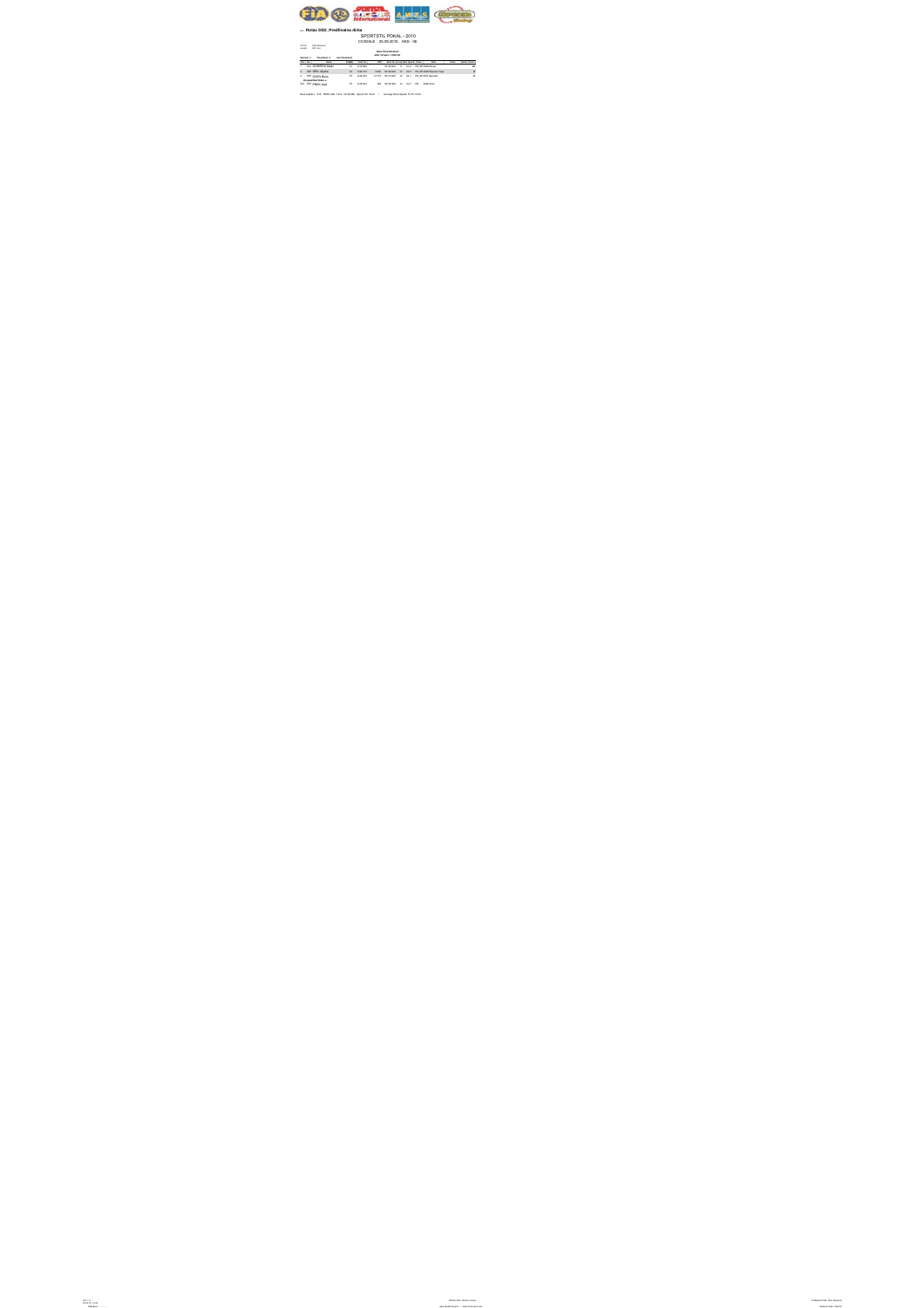

## Run: **Rotax DD2\_Predfinalna dirka**

## SPORTSTIL POKAL - 2010 CIVIDALE 25.09.2010. KKS - 06

Circuit: Pista Alberone Length: 820 met.

**Race Classification**

**after 12 laps = 9,84 km**

**Started: 4 Classified: 3** 

|                              | Pas Box | <b>Margaret</b>   |        | Teacher  |        |            |    |      | Clean     | <b>Mind</b>                               | <b>Texas</b> |    |
|------------------------------|---------|-------------------|--------|----------|--------|------------|----|------|-----------|-------------------------------------------|--------------|----|
| ×.                           |         | ate GORSSEK Matic | $+1$   | 9.33,688 |        | 0046889 11 |    |      |           | 63.6 RESPARDANCE                          |              | 10 |
| ä.                           |         | 825 GRIL Algia    | $+1$   | 9.36.772 |        |            |    |      |           | 30K2 0046808 12 63.8 R8 SPAMD Sander Cele |              | ٠  |
| $\mathbf{z}$                 |         | 833 OVEN Boris    | $^{+}$ | 9.48.423 | 14.727 |            |    |      |           | 0047396 12 62.1 RESPARKSHIRES             |              | ٠  |
| <b>Diseast field Follows</b> |         |                   |        |          |        |            |    |      |           |                                           |              |    |
|                              |         | DO 818 PREX Alet  |        | 9.46.954 | DO.    | 00:08.368  | 12 | 63.7 | <b>ST</b> | AMK Rom                                   |              |    |

Best Laptime : 818 PREK Aleš Time: 00:46,368 Speed: 64 Km/h / Average Race Speed: 61,75 Km/h